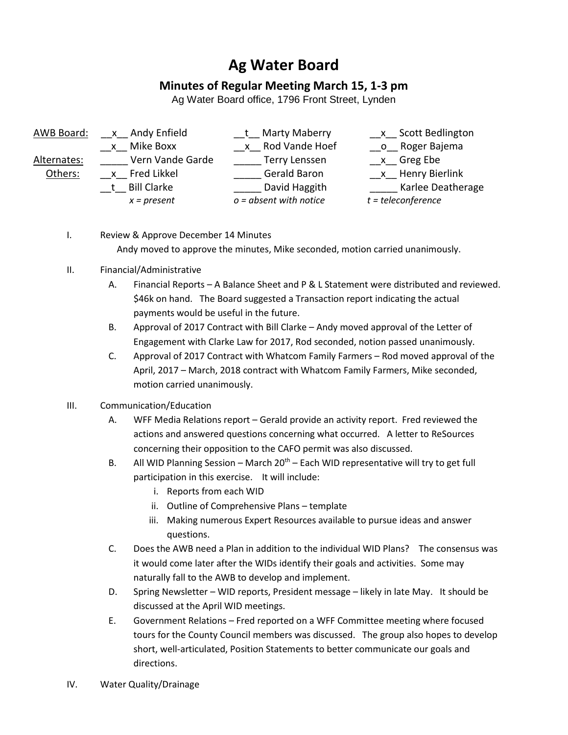## **Ag Water Board**

## **Minutes of Regular Meeting March 15, 1-3 pm**

Ag Water Board office, 1796 Front Street, Lynden

- AWB Board: x Andy Enfield t Marty Maberry x Scott Bedlington \_\_x\_\_ Mike Boxx \_\_x\_\_ Rod Vande Hoef \_\_o\_\_ Roger Bajema Alternates: \_\_\_\_\_\_\_ Vern Vande Garde \_\_\_\_\_\_ Terry Lenssen \_\_\_\_\_\_ x\_\_ Greg Ebe Others: \_\_x\_\_ Fred Likkel \_\_\_\_\_ Gerald Baron \_\_x\_\_ Henry Bierlink t Bill Clarke **Easing Clarical Clargith** Bill Clarke David Haggith Clarke Deatherage *x = present o = absent with notice t = teleconference*
	- I. Review & Approve December 14 Minutes Andy moved to approve the minutes, Mike seconded, motion carried unanimously.
	- II. Financial/Administrative
		- A. Financial Reports A Balance Sheet and P & L Statement were distributed and reviewed. \$46k on hand. The Board suggested a Transaction report indicating the actual payments would be useful in the future.
		- B. Approval of 2017 Contract with Bill Clarke Andy moved approval of the Letter of Engagement with Clarke Law for 2017, Rod seconded, notion passed unanimously.
		- C. Approval of 2017 Contract with Whatcom Family Farmers Rod moved approval of the April, 2017 – March, 2018 contract with Whatcom Family Farmers, Mike seconded, motion carried unanimously.

## III. Communication/Education

- A. WFF Media Relations report Gerald provide an activity report. Fred reviewed the actions and answered questions concerning what occurred. A letter to ReSources concerning their opposition to the CAFO permit was also discussed.
- B. All WID Planning Session March  $20<sup>th</sup>$  Each WID representative will try to get full participation in this exercise. It will include:
	- i. Reports from each WID
	- ii. Outline of Comprehensive Plans template
	- iii. Making numerous Expert Resources available to pursue ideas and answer questions.
- C. Does the AWB need a Plan in addition to the individual WID Plans? The consensus was it would come later after the WIDs identify their goals and activities. Some may naturally fall to the AWB to develop and implement.
- D. Spring Newsletter WID reports, President message likely in late May. It should be discussed at the April WID meetings.
- E. Government Relations Fred reported on a WFF Committee meeting where focused tours for the County Council members was discussed. The group also hopes to develop short, well-articulated, Position Statements to better communicate our goals and directions.
- IV. Water Quality/Drainage